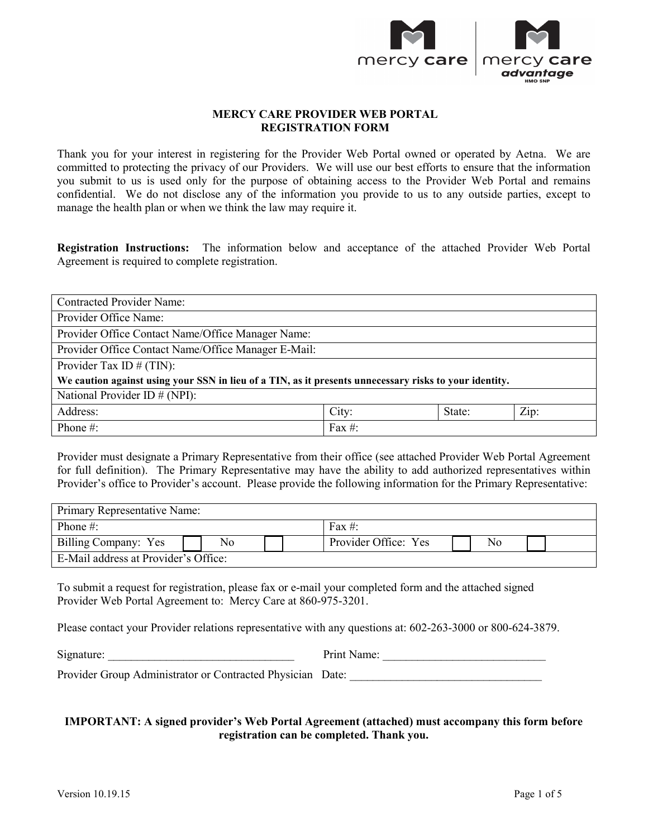

# **MERCY CARE PROVIDER WEB PORTAL REGISTRATION FORM**

 Thank you for your interest in registering for the Provider Web Portal owned or operated by Aetna. We are committed to protecting the privacy of our Providers. We will use our best efforts to ensure that the information you submit to us is used only for the purpose of obtaining access to the Provider Web Portal and remains manage the health plan or when we think the law may require it. confidential. We do not disclose any of the information you provide to us to any outside parties, except to

 **Registration Instructions:** The information below and acceptance of the attached Provider Web Portal Agreement is required to complete registration.

| <b>Contracted Provider Name:</b>                                                                       |           |        |      |  |  |  |
|--------------------------------------------------------------------------------------------------------|-----------|--------|------|--|--|--|
| Provider Office Name:                                                                                  |           |        |      |  |  |  |
| Provider Office Contact Name/Office Manager Name:                                                      |           |        |      |  |  |  |
| Provider Office Contact Name/Office Manager E-Mail:                                                    |           |        |      |  |  |  |
| Provider Tax ID $# (TIN)$ :                                                                            |           |        |      |  |  |  |
| We caution against using your SSN in lieu of a TIN, as it presents unnecessary risks to your identity. |           |        |      |  |  |  |
| National Provider ID $# (NPI)$ :                                                                       |           |        |      |  |  |  |
| Address:                                                                                               | City:     | State: | Zip: |  |  |  |
| Phone $#$ :                                                                                            | Fax $#$ : |        |      |  |  |  |

 Provider's office to Provider's account. Please provide the following information for the Primary Representative: Provider must designate a Primary Representative from their office (see attached Provider Web Portal Agreement for full definition). The Primary Representative may have the ability to add authorized representatives within

| <b>Primary Representative Name:</b>  |    |                      |    |  |
|--------------------------------------|----|----------------------|----|--|
| Phone $\#$ :                         |    | Fax #:               |    |  |
| Billing Company: Yes                 | No | Provider Office: Yes | No |  |
| E-Mail address at Provider's Office: |    |                      |    |  |

 To submit a request for registration, please fax or e-mail your completed form and the attached signed Provider Web Portal Agreement to: Mercy Care at 860-975-3201.

Please contact your Provider relations representative with any questions at: 602-263-3000 or 800-624-3879.

Signature: \_\_\_\_\_\_\_\_\_\_\_\_\_\_\_\_\_\_\_\_\_\_\_\_\_\_\_\_\_\_\_\_ Print Name: \_\_\_\_\_\_\_\_\_\_\_\_\_\_\_\_\_\_\_\_\_\_\_\_\_\_\_\_

Provider Group Administrator or Contracted Physician Date: \_\_\_\_\_\_\_\_\_\_\_\_\_\_\_\_\_\_\_\_\_

# **IMPORTANT: A signed provider's Web Portal Agreement (attached) must accompany this form before registration can be completed. Thank you.**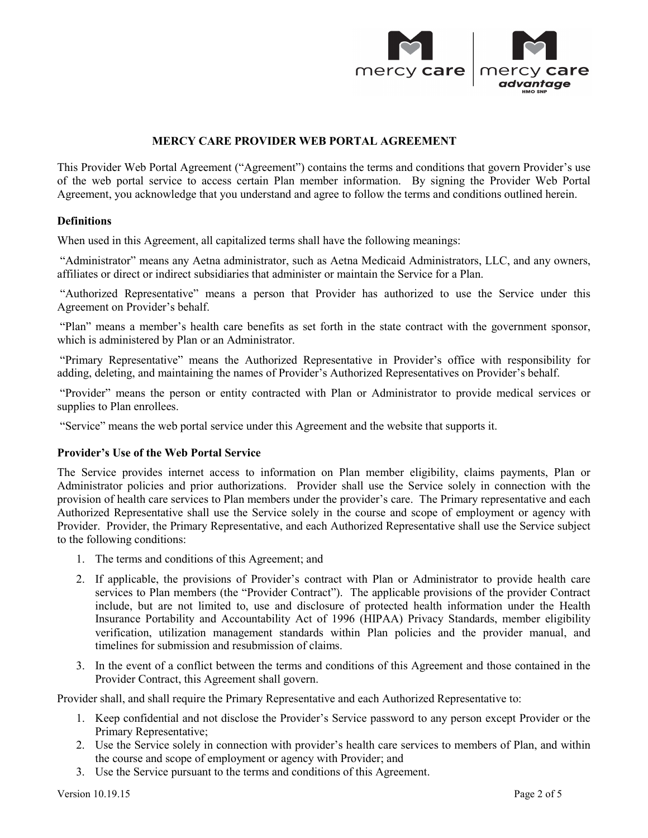

## **MERCY CARE PROVIDER WEB PORTAL AGREEMENT**

 of the web portal service to access certain Plan member information. By signing the Provider Web Portal Agreement, you acknowledge that you understand and agree to follow the terms and conditions outlined herein. This Provider Web Portal Agreement ("Agreement") contains the terms and conditions that govern Provider's use

### **Definitions**

When used in this Agreement, all capitalized terms shall have the following meanings:

 "Administrator" means any Aetna administrator, such as Aetna Medicaid Administrators, LLC, and any owners, affiliates or direct or indirect subsidiaries that administer or maintain the Service for a Plan.

 "Authorized Representative" means a person that Provider has authorized to use the Service under this Agreement on Provider's behalf.

 "Plan" means a member's health care benefits as set forth in the state contract with the government sponsor, which is administered by Plan or an Administrator.

"Primary Representative" means the Authorized Representative in Provider's office with responsibility for adding, deleting, and maintaining the names of Provider's Authorized Representatives on Provider's behalf.

 "Provider" means the person or entity contracted with Plan or Administrator to provide medical services or supplies to Plan enrollees.

"Service" means the web portal service under this Agreement and the website that supports it.

### **Provider's Use of the Web Portal Service**

 provision of health care services to Plan members under the provider's care. The Primary representative and each The Service provides internet access to information on Plan member eligibility, claims payments, Plan or Administrator policies and prior authorizations. Provider shall use the Service solely in connection with the Authorized Representative shall use the Service solely in the course and scope of employment or agency with Provider. Provider, the Primary Representative, and each Authorized Representative shall use the Service subject to the following conditions:

- 1. The terms and conditions of this Agreement; and
- include, but are not limited to, use and disclosure of protected health information under the Health Insurance Portability and Accountability Act of 1996 (HIPAA) Privacy Standards, member eligibility timelines for submission and resubmission of claims. 2. If applicable, the provisions of Provider's contract with Plan or Administrator to provide health care services to Plan members (the "Provider Contract"). The applicable provisions of the provider Contract verification, utilization management standards within Plan policies and the provider manual, and
- 3. In the event of a conflict between the terms and conditions of this Agreement and those contained in the Provider Contract, this Agreement shall govern.

Provider shall, and shall require the Primary Representative and each Authorized Representative to:

- 1. Keep confidential and not disclose the Provider's Service password to any person except Provider or the Primary Representative;
- 2. Use the Service solely in connection with provider's health care services to members of Plan, and within the course and scope of employment or agency with Provider; and
- 3. Use the Service pursuant to the terms and conditions of this Agreement.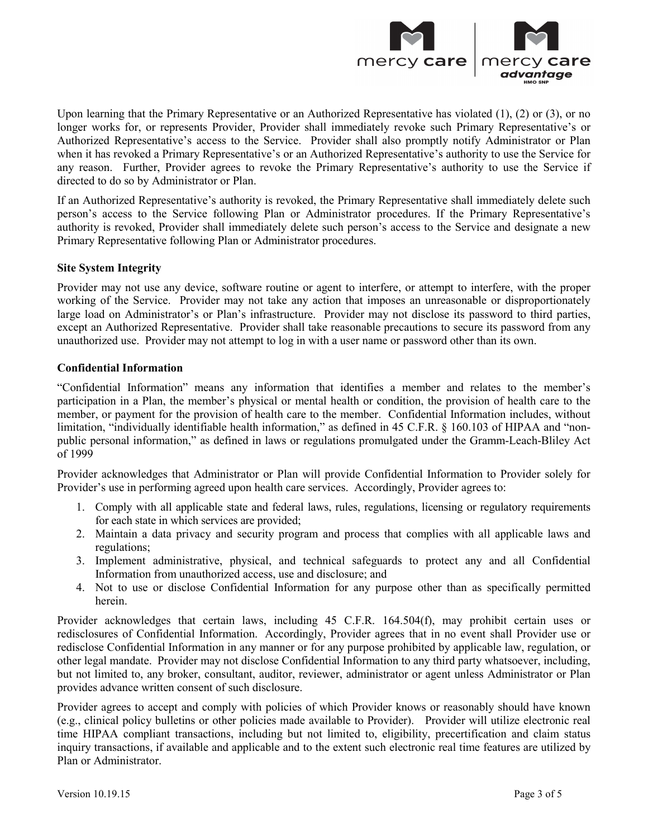

 Upon learning that the Primary Representative or an Authorized Representative has violated (1), (2) or (3), or no Authorized Representative's access to the Service. Provider shall also promptly notify Administrator or Plan directed to do so by Administrator or Plan. longer works for, or represents Provider, Provider shall immediately revoke such Primary Representative's or when it has revoked a Primary Representative's or an Authorized Representative's authority to use the Service for any reason. Further, Provider agrees to revoke the Primary Representative's authority to use the Service if

 If an Authorized Representative's authority is revoked, the Primary Representative shall immediately delete such Primary Representative following Plan or Administrator procedures. person's access to the Service following Plan or Administrator procedures. If the Primary Representative's authority is revoked, Provider shall immediately delete such person's access to the Service and designate a new

# **Site System Integrity**

 Provider may not use any device, software routine or agent to interfere, or attempt to interfere, with the proper working of the Service. Provider may not take any action that imposes an unreasonable or disproportionately large load on Administrator's or Plan's infrastructure. Provider may not disclose its password to third parties, except an Authorized Representative. Provider shall take reasonable precautions to secure its password from any unauthorized use. Provider may not attempt to log in with a user name or password other than its own.

# **Confidential Information**

 participation in a Plan, the member's physical or mental health or condition, the provision of health care to the limitation, "individually identifiable health information," as defined in 45 C.F.R. § 160.103 of HIPAA and "non-"Confidential Information" means any information that identifies a member and relates to the member's member, or payment for the provision of health care to the member. Confidential Information includes, without public personal information," as defined in laws or regulations promulgated under the Gramm-Leach-Bliley Act of  $1999$ 

 Provider acknowledges that Administrator or Plan will provide Confidential Information to Provider solely for Provider's use in performing agreed upon health care services. Accordingly, Provider agrees to:

- 1. Comply with all applicable state and federal laws, rules, regulations, licensing or regulatory requirements for each state in which services are provided;
- 2. Maintain a data privacy and security program and process that complies with all applicable laws and regulations;
- 3. Implement administrative, physical, and technical safeguards to protect any and all Confidential Information from unauthorized access, use and disclosure; and
- 4. Not to use or disclose Confidential Information for any purpose other than as specifically permitted herein.

 redisclosures of Confidential Information. Accordingly, Provider agrees that in no event shall Provider use or other legal mandate. Provider may not disclose Confidential Information to any third party whatsoever, including, but not limited to, any broker, consultant, auditor, reviewer, administrator or agent unless Administrator or Plan Provider acknowledges that certain laws, including 45 C.F.R. 164.504(f), may prohibit certain uses or redisclose Confidential Information in any manner or for any purpose prohibited by applicable law, regulation, or provides advance written consent of such disclosure.

 Provider agrees to accept and comply with policies of which Provider knows or reasonably should have known time HIPAA compliant transactions, including but not limited to, eligibility, precertification and claim status (e.g., clinical policy bulletins or other policies made available to Provider). Provider will utilize electronic real inquiry transactions, if available and applicable and to the extent such electronic real time features are utilized by Plan or Administrator.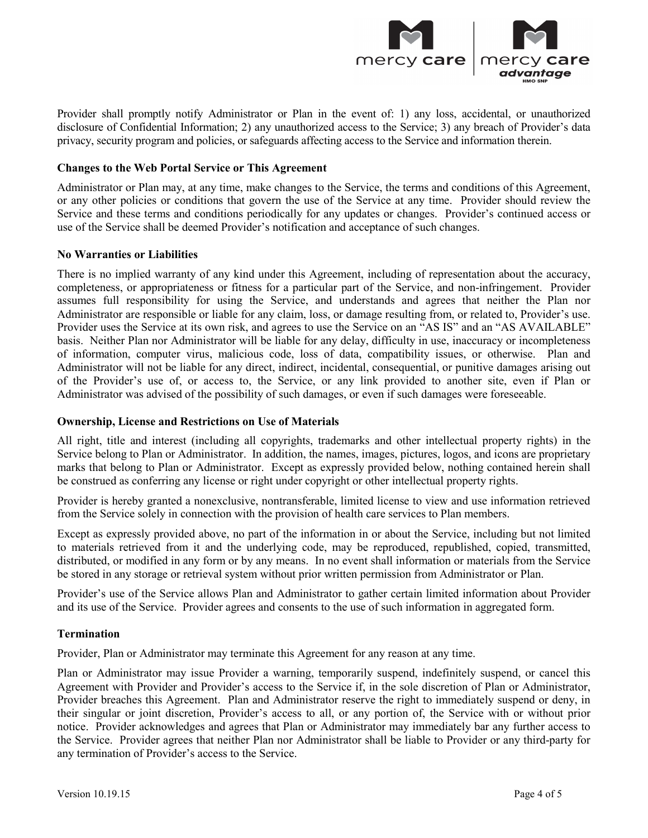

 Provider shall promptly notify Administrator or Plan in the event of: 1) any loss, accidental, or unauthorized disclosure of Confidential Information; 2) any unauthorized access to the Service; 3) any breach of Provider's data privacy, security program and policies, or safeguards affecting access to the Service and information therein.

### **Changes to the Web Portal Service or This Agreement**

 Service and these terms and conditions periodically for any updates or changes. Provider's continued access or use of the Service shall be deemed Provider's notification and acceptance of such changes. Administrator or Plan may, at any time, make changes to the Service, the terms and conditions of this Agreement, or any other policies or conditions that govern the use of the Service at any time. Provider should review the

### **No Warranties or Liabilities**

 completeness, or appropriateness or fitness for a particular part of the Service, and non-infringement. Provider assumes full responsibility for using the Service, and understands and agrees that neither the Plan nor Administrator are responsible or liable for any claim, loss, or damage resulting from, or related to, Provider's use. Provider uses the Service at its own risk, and agrees to use the Service on an "AS IS" and an "AS AVAILABLE" basis. Neither Plan nor Administrator will be liable for any delay, difficulty in use, inaccuracy or incompleteness Administrator will not be liable for any direct, indirect, incidental, consequential, or punitive damages arising out of the Provider's use of, or access to, the Service, or any link provided to another site, even if Plan or There is no implied warranty of any kind under this Agreement, including of representation about the accuracy, of information, computer virus, malicious code, loss of data, compatibility issues, or otherwise. Plan and Administrator was advised of the possibility of such damages, or even if such damages were foreseeable.

## **Ownership, License and Restrictions on Use of Materials**

 All right, title and interest (including all copyrights, trademarks and other intellectual property rights) in the Service belong to Plan or Administrator. In addition, the names, images, pictures, logos, and icons are proprietary marks that belong to Plan or Administrator. Except as expressly provided below, nothing contained herein shall be construed as conferring any license or right under copyright or other intellectual property rights.

 Provider is hereby granted a nonexclusive, nontransferable, limited license to view and use information retrieved from the Service solely in connection with the provision of health care services to Plan members.

 be stored in any storage or retrieval system without prior written permission from Administrator or Plan. Except as expressly provided above, no part of the information in or about the Service, including but not limited to materials retrieved from it and the underlying code, may be reproduced, republished, copied, transmitted, distributed, or modified in any form or by any means. In no event shall information or materials from the Service

 Provider's use of the Service allows Plan and Administrator to gather certain limited information about Provider and its use of the Service. Provider agrees and consents to the use of such information in aggregated form.

# **Termination**

Provider, Plan or Administrator may terminate this Agreement for any reason at any time.

 Plan or Administrator may issue Provider a warning, temporarily suspend, indefinitely suspend, or cancel this Provider breaches this Agreement. Plan and Administrator reserve the right to immediately suspend or deny, in their singular or joint discretion, Provider's access to all, or any portion of, the Service with or without prior the Service. Provider agrees that neither Plan nor Administrator shall be liable to Provider or any third-party for any termination of Provider's access to the Service. Agreement with Provider and Provider's access to the Service if, in the sole discretion of Plan or Administrator, notice. Provider acknowledges and agrees that Plan or Administrator may immediately bar any further access to